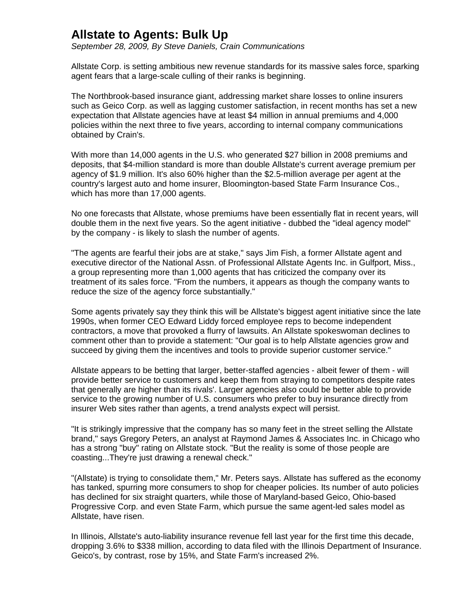## **Allstate to Agents: Bulk Up**

*September 28, 2009, By Steve Daniels, Crain Communications*

Allstate Corp. is setting ambitious new revenue standards for its massive sales force, sparking agent fears that a large-scale culling of their ranks is beginning.

The Northbrook-based insurance giant, addressing market share losses to online insurers such as Geico Corp. as well as lagging customer satisfaction, in recent months has set a new expectation that Allstate agencies have at least \$4 million in annual premiums and 4,000 policies within the next three to five years, according to internal company communications obtained by Crain's.

With more than 14,000 agents in the U.S. who generated \$27 billion in 2008 premiums and deposits, that \$4-million standard is more than double Allstate's current average premium per agency of \$1.9 million. It's also 60% higher than the \$2.5-million average per agent at the country's largest auto and home insurer, Bloomington-based State Farm Insurance Cos., which has more than 17,000 agents.

No one forecasts that Allstate, whose premiums have been essentially flat in recent years, will double them in the next five years. So the agent initiative - dubbed the "ideal agency model" by the company - is likely to slash the number of agents.

"The agents are fearful their jobs are at stake," says Jim Fish, a former Allstate agent and executive director of the National Assn. of Professional Allstate Agents Inc. in Gulfport, Miss., a group representing more than 1,000 agents that has criticized the company over its treatment of its sales force. "From the numbers, it appears as though the company wants to reduce the size of the agency force substantially."

Some agents privately say they think this will be Allstate's biggest agent initiative since the late 1990s, when former CEO Edward Liddy forced employee reps to become independent contractors, a move that provoked a flurry of lawsuits. An Allstate spokeswoman declines to comment other than to provide a statement: "Our goal is to help Allstate agencies grow and succeed by giving them the incentives and tools to provide superior customer service."

Allstate appears to be betting that larger, better-staffed agencies - albeit fewer of them - will provide better service to customers and keep them from straying to competitors despite rates that generally are higher than its rivals'. Larger agencies also could be better able to provide service to the growing number of U.S. consumers who prefer to buy insurance directly from insurer Web sites rather than agents, a trend analysts expect will persist.

"It is strikingly impressive that the company has so many feet in the street selling the Allstate brand," says Gregory Peters, an analyst at Raymond James & Associates Inc. in Chicago who has a strong "buy" rating on Allstate stock. "But the reality is some of those people are coasting...They're just drawing a renewal check."

"(Allstate) is trying to consolidate them," Mr. Peters says. Allstate has suffered as the economy has tanked, spurring more consumers to shop for cheaper policies. Its number of auto policies has declined for six straight quarters, while those of Maryland-based Geico, Ohio-based Progressive Corp. and even State Farm, which pursue the same agent-led sales model as Allstate, have risen.

In Illinois, Allstate's auto-liability insurance revenue fell last year for the first time this decade, dropping 3.6% to \$338 million, according to data filed with the Illinois Department of Insurance. Geico's, by contrast, rose by 15%, and State Farm's increased 2%.